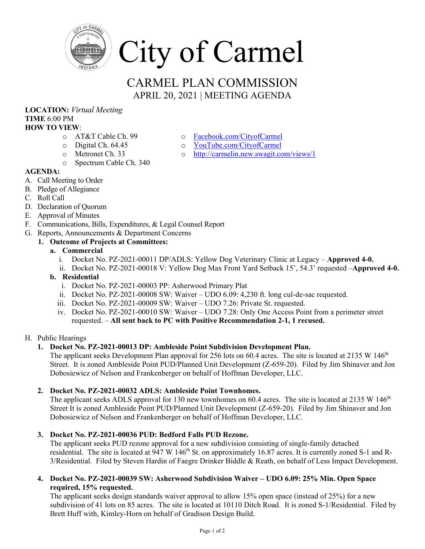

# CARMEL PLAN COMMISSION APRIL 20, 2021 | MEETING AGENDA

#### **LOCATION:** *Virtual Meeting* **TIME** 6:00 PM **HOW TO VIEW**:

- o AT&T Cable Ch. 99
- o Digital Ch. 64.45
- o Metronet Ch. 33
- o Spectrum Cable Ch. 340
- **AGENDA:**
- A. Call Meeting to Order
- B. Pledge of Allegiance
- C. Roll Call
- D. Declaration of Quorum
- E. Approval of Minutes
- F. Communications, Bills, Expenditures, & Legal Counsel Report
- G. Reports, Announcements & Department Concerns

## **1. Outcome of Projects at Committees:**

- **a. Commercial**
	- i. Docket No. PZ-2021-00011 DP/ADLS: Yellow Dog Veterinary Clinic at Legacy **Approved 4-0.**
	- ii. Docket No. PZ-2021-00018 V: Yellow Dog Max Front Yard Setback 15', 54.3' requested –**Approved 4-0.**
- **b. Residential** 
	- i. Docket No. PZ-2021-00003 PP: Asherwood Primary Plat
	- ii. Docket No. PZ-2021-00008 SW: Waiver UDO 6.09: 4,230 ft. long cul-de-sac requested.
	- iii. Docket No. PZ-2021-00009 SW: Waiver UDO 7.26: Private St. requested.
	- iv. Docket No. PZ-2021-00010 SW: Waiver UDO 7.28: Only One Access Point from a perimeter street requested. – **All sent back to PC with Positive Recommendation 2-1, 1 recused.**

### H. Public Hearings

### **1. Docket No. PZ-2021-00013 DP: Ambleside Point Subdivision Development Plan.**

The applicant seeks Development Plan approval for 256 lots on 60.4 acres. The site is located at 2135 W 146<sup>th</sup> Street. It is zoned Ambleside Point PUD/Planned Unit Development (Z-659-20). Filed by Jim Shinaver and Jon Dobosiewicz of Nelson and Frankenberger on behalf of Hoffman Developer, LLC.

## **2. Docket No. PZ-2021-00032 ADLS: Ambleside Point Townhomes.**

The applicant seeks ADLS approval for 130 new townhomes on 60.4 acres. The site is located at 2135 W 146<sup>th</sup> Street It is zoned Ambleside Point PUD/Planned Unit Development (Z-659-20). Filed by Jim Shinaver and Jon Dobosiewicz of Nelson and Frankenberger on behalf of Hoffman Developer, LLC.

## **3. Docket No. PZ-2021-00036 PUD: Bedford Falls PUD Rezone.**

The applicant seeks PUD rezone approval for a new subdivision consisting of single-family detached residential. The site is located at 947 W 146<sup>th</sup> St. on approximately 16.87 acres. It is currently zoned S-1 and R-3/Residential. Filed by Steven Hardin of Faegre Drinker Biddle & Reath, on behalf of Less Impact Development.

**4. Docket No. PZ-2021-00039 SW: Asherwood Subdivision Waiver – UDO 6.09: 25% Min. Open Space required, 15% requested.**

The applicant seeks design standards waiver approval to allow 15% open space (instead of 25%) for a new subdivision of 41 lots on 85 acres. The site is located at 10110 Ditch Road. It is zoned S-1/Residential. Filed by Brett Huff with, Kimley-Horn on behalf of Gradison Design Build.

- o [Facebook.com/CityofCarmel](https://www.facebook.com/CityofCarmel/)
- o [YouTube.com/CityofCarmel](https://www.youtube.com/channel/UCehYsbi2i8jGvjkmE9cSPmg)
- o <http://carmelin.new.swagit.com/views/1>